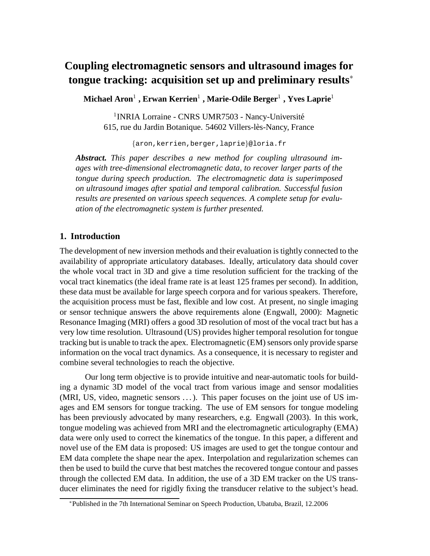# **Coupling electromagnetic sensors and ultrasound images for tongue tracking: acquisition set up and preliminary results** ∗

**Michael Aron**<sup>1</sup> **, Erwan Kerrien**<sup>1</sup> **, Marie-Odile Berger**<sup>1</sup> **, Yves Laprie**<sup>1</sup>

<sup>1</sup> INRIA Lorraine - CNRS UMR7503 - Nancy-Université 615, rue du Jardin Botanique. 54602 Villers-lès-Nancy, France

{aron,kerrien,berger,laprie}@loria.fr

*Abstract. This paper describes a new method for coupling ultrasound images with tree-dimensional electromagnetic data, to recover larger parts of the tongue during speech production. The electromagnetic data is superimposed on ultrasound images after spatial and temporal calibration. Successful fusion results are presented on various speech sequences. A complete setup for evaluation of the electromagnetic system is further presented.*

# **1. Introduction**

The development of new inversion methods and their evaluation is tightly connected to the availability of appropriate articulatory databases. Ideally, articulatory data should cover the whole vocal tract in 3D and give a time resolution sufficient for the tracking of the vocal tract kinematics (the ideal frame rate is at least 125 frames per second). In addition, these data must be available for large speech corpora and for various speakers. Therefore, the acquisition process must be fast, flexible and low cost. At present, no single imaging or sensor technique answers the above requirements alone (Engwall, 2000): Magnetic Resonance Imaging (MRI) offers a good 3D resolution of most of the vocal tract but has a very low time resolution. Ultrasound (US) provides higher temporal resolution for tongue tracking but is unable to track the apex. Electromagnetic (EM) sensors only provide sparse information on the vocal tract dynamics. As a consequence, it is necessary to register and combine several technologies to reach the objective.

Our long term objective is to provide intuitive and near-automatic tools for building a dynamic 3D model of the vocal tract from various image and sensor modalities (MRI, US, video, magnetic sensors ...). This paper focuses on the joint use of US images and EM sensors for tongue tracking. The use of EM sensors for tongue modeling has been previously advocated by many researchers, e.g. Engwall (2003). In this work, tongue modeling was achieved from MRI and the electromagnetic articulography (EMA) data were only used to correct the kinematics of the tongue. In this paper, a different and novel use of the EM data is proposed: US images are used to get the tongue contour and EM data complete the shape near the apex. Interpolation and regularization schemes can then be used to build the curve that best matches the recovered tongue contour and passes through the collected EM data. In addition, the use of a 3D EM tracker on the US transducer eliminates the need for rigidly fixing the transducer relative to the subject's head.

<sup>∗</sup>Published in the 7th International Seminar on Speech Production, Ubatuba, Brazil, 12.2006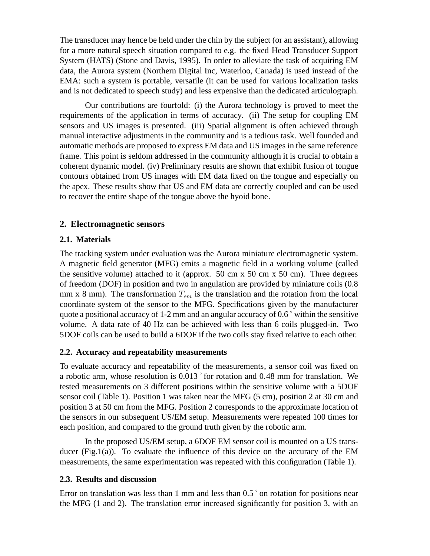The transducer may hence be held under the chin by the subject (or an assistant), allowing for a more natural speech situation compared to e.g. the fixed Head Transducer Support System (HATS) (Stone and Davis, 1995). In order to alleviate the task of acquiring EM data, the Aurora system (Northern Digital Inc, Waterloo, Canada) is used instead of the EMA: such a system is portable, versatile (it can be used for various localization tasks and is not dedicated to speech study) and less expensive than the dedicated articulograph.

Our contributions are fourfold: (i) the Aurora technology is proved to meet the requirements of the application in terms of accuracy. (ii) The setup for coupling EM sensors and US images is presented. (iii) Spatial alignment is often achieved through manual interactive adjustments in the community and is a tedious task. Well founded and automatic methods are proposed to express EM data and US images in the same reference frame. This point is seldom addressed in the community although it is crucial to obtain a coherent dynamic model. (iv) Preliminary results are shown that exhibit fusion of tongue contours obtained from US images with EM data fixed on the tongue and especially on the apex. These results show that US and EM data are correctly coupled and can be used to recover the entire shape of the tongue above the hyoid bone.

## **2. Electromagnetic sensors**

## **2.1. Materials**

The tracking system under evaluation was the Aurora miniature electromagnetic system. A magnetic field generator (MFG) emits a magnetic field in a working volume (called the sensitive volume) attached to it (approx.  $50 \text{ cm} \times 50 \text{ cm} \times 50 \text{ cm}$ ). Three degrees of freedom (DOF) in position and two in angulation are provided by miniature coils (0.8 mm x 8 mm). The transformation  $T_{em}$  is the translation and the rotation from the local coordinate system of the sensor to the MFG. Specifications given by the manufacturer quote a positional accuracy of 1-2 mm and an angular accuracy of 0.6 ˚ within the sensitive volume. A data rate of 40 Hz can be achieved with less than 6 coils plugged-in. Two 5DOF coils can be used to build a 6DOF if the two coils stay fixed relative to each other.

## **2.2. Accuracy and repeatability measurements**

To evaluate accuracy and repeatability of the measurements, a sensor coil was fixed on a robotic arm, whose resolution is 0.013 ˚ for rotation and 0.48 mm for translation. We tested measurements on 3 different positions within the sensitive volume with a 5DOF sensor coil (Table 1). Position 1 was taken near the MFG (5 cm), position 2 at 30 cm and position 3 at 50 cm from the MFG. Position 2 corresponds to the approximate location of the sensors in our subsequent US/EM setup. Measurements were repeated 100 times for each position, and compared to the ground truth given by the robotic arm.

In the proposed US/EM setup, a 6DOF EM sensor coil is mounted on a US transducer (Fig.1(a)). To evaluate the influence of this device on the accuracy of the EM measurements, the same experimentation was repeated with this configuration (Table 1).

## **2.3. Results and discussion**

Error on translation was less than 1 mm and less than 0.5 ° on rotation for positions near the MFG (1 and 2). The translation error increased significantly for position 3, with an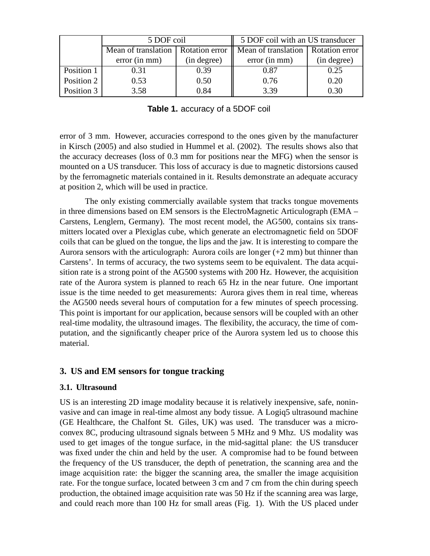|            | 5 DOF coil          |                | 5 DOF coil with an US transducer     |             |
|------------|---------------------|----------------|--------------------------------------|-------------|
|            | Mean of translation | Rotation error | Mean of translation   Rotation error |             |
|            | error(in mm)        | (in degree)    | error(in mm)                         | (in degree) |
| Position 1 | 0.31                | 0.39           | 0.87                                 | 0.25        |
| Position 2 | 0.53                | 0.50           | 0.76                                 | 0.20        |
| Position 3 | 3.58                | 0.84           | 3.39                                 | 0.30        |

**Table 1.** accuracy of a 5DOF coil

error of 3 mm. However, accuracies correspond to the ones given by the manufacturer in Kirsch (2005) and also studied in Hummel et al. (2002). The results shows also that the accuracy decreases (loss of 0.3 mm for positions near the MFG) when the sensor is mounted on a US transducer. This loss of accuracy is due to magnetic distorsions caused by the ferromagnetic materials contained in it. Results demonstrate an adequate accuracy at position 2, which will be used in practice.

The only existing commercially available system that tracks tongue movements in three dimensions based on EM sensors is the ElectroMagnetic Articulograph (EMA – Carstens, Lenglern, Germany). The most recent model, the AG500, contains six transmitters located over a Plexiglas cube, which generate an electromagnetic field on 5DOF coils that can be glued on the tongue, the lips and the jaw. It is interesting to compare the Aurora sensors with the articulograph: Aurora coils are longer  $(+2 \text{ mm})$  but thinner than Carstens'. In terms of accuracy, the two systems seem to be equivalent. The data acquisition rate is a strong point of the AG500 systems with 200 Hz. However, the acquisition rate of the Aurora system is planned to reach 65 Hz in the near future. One important issue is the time needed to get measurements: Aurora gives them in real time, whereas the AG500 needs several hours of computation for a few minutes of speech processing. This point is important for our application, because sensors will be coupled with an other real-time modality, the ultrasound images. The flexibility, the accuracy, the time of computation, and the significantly cheaper price of the Aurora system led us to choose this material.

# **3. US and EM sensors for tongue tracking**

## **3.1. Ultrasound**

US is an interesting 2D image modality because it is relatively inexpensive, safe, noninvasive and can image in real-time almost any body tissue. A Logiq5 ultrasound machine (GE Healthcare, the Chalfont St. Giles, UK) was used. The transducer was a microconvex 8C, producing ultrasound signals between 5 MHz and 9 Mhz. US modality was used to get images of the tongue surface, in the mid-sagittal plane: the US transducer was fixed under the chin and held by the user. A compromise had to be found between the frequency of the US transducer, the depth of penetration, the scanning area and the image acquisition rate: the bigger the scanning area, the smaller the image acquisition rate. For the tongue surface, located between 3 cm and 7 cm from the chin during speech production, the obtained image acquisition rate was 50 Hz if the scanning area was large, and could reach more than 100 Hz for small areas (Fig. 1). With the US placed under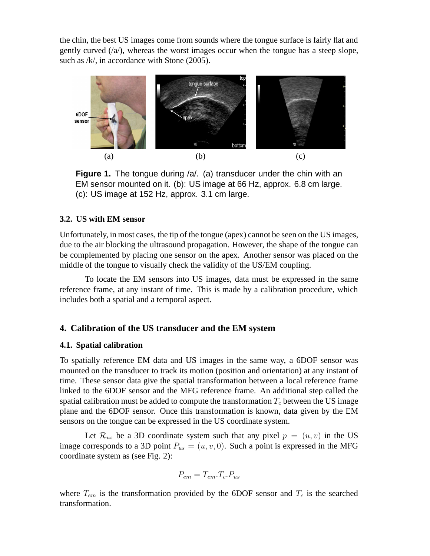the chin, the best US images come from sounds where the tongue surface is fairly flat and gently curved  $(\alpha)$ , whereas the worst images occur when the tongue has a steep slope, such as /k/, in accordance with Stone (2005).



**Figure 1.** The tongue during /a/. (a) transducer under the chin with an EM sensor mounted on it. (b): US image at 66 Hz, approx. 6.8 cm large. (c): US image at 152 Hz, approx. 3.1 cm large.

## **3.2. US with EM sensor**

Unfortunately, in most cases, the tip of the tongue (apex) cannot be seen on the US images, due to the air blocking the ultrasound propagation. However, the shape of the tongue can be complemented by placing one sensor on the apex. Another sensor was placed on the middle of the tongue to visually check the validity of the US/EM coupling.

To locate the EM sensors into US images, data must be expressed in the same reference frame, at any instant of time. This is made by a calibration procedure, which includes both a spatial and a temporal aspect.

# **4. Calibration of the US transducer and the EM system**

## **4.1. Spatial calibration**

To spatially reference EM data and US images in the same way, a 6DOF sensor was mounted on the transducer to track its motion (position and orientation) at any instant of time. These sensor data give the spatial transformation between a local reference frame linked to the 6DOF sensor and the MFG reference frame. An additional step called the spatial calibration must be added to compute the transformation  $T_c$  between the US image plane and the 6DOF sensor. Once this transformation is known, data given by the EM sensors on the tongue can be expressed in the US coordinate system.

Let  $\mathcal{R}_{us}$  be a 3D coordinate system such that any pixel  $p = (u, v)$  in the US image corresponds to a 3D point  $P_{us} = (u, v, 0)$ . Such a point is expressed in the MFG coordinate system as (see Fig. 2):

$$
P_{em} = T_{em}.T_c.P_{us}
$$

where  $T_{em}$  is the transformation provided by the 6DOF sensor and  $T_c$  is the searched transformation.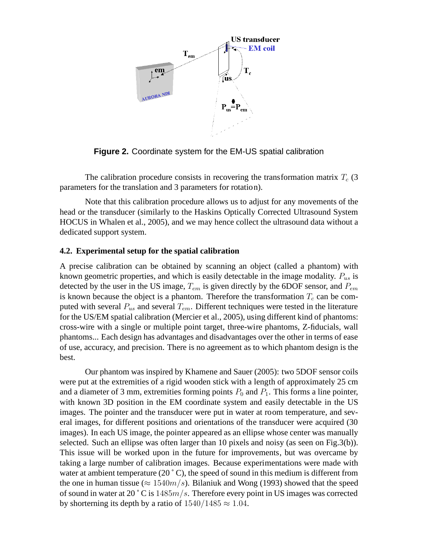

**Figure 2.** Coordinate system for the EM-US spatial calibration

The calibration procedure consists in recovering the transformation matrix  $T_c$  (3) parameters for the translation and 3 parameters for rotation).

Note that this calibration procedure allows us to adjust for any movements of the head or the transducer (similarly to the Haskins Optically Corrected Ultrasound System HOCUS in Whalen et al., 2005), and we may hence collect the ultrasound data without a dedicated support system.

#### **4.2. Experimental setup for the spatial calibration**

A precise calibration can be obtained by scanning an object (called a phantom) with known geometric properties, and which is easily detectable in the image modality.  $P_{us}$  is detected by the user in the US image,  $T_{em}$  is given directly by the 6DOF sensor, and  $P_{em}$ is known because the object is a phantom. Therefore the transformation  $T_c$  can be computed with several  $P_{us}$  and several  $T_{em}$ . Different techniques were tested in the literature for the US/EM spatial calibration (Mercier et al., 2005), using different kind of phantoms: cross-wire with a single or multiple point target, three-wire phantoms, Z-fiducials, wall phantoms... Each design has advantages and disadvantages over the other in terms of ease of use, accuracy, and precision. There is no agreement as to which phantom design is the best.

Our phantom was inspired by Khamene and Sauer (2005): two 5DOF sensor coils were put at the extremities of a rigid wooden stick with a length of approximately 25 cm and a diameter of 3 mm, extremities forming points  $P_0$  and  $P_1$ . This forms a line pointer, with known 3D position in the EM coordinate system and easily detectable in the US images. The pointer and the transducer were put in water at room temperature, and several images, for different positions and orientations of the transducer were acquired (30 images). In each US image, the pointer appeared as an ellipse whose center was manually selected. Such an ellipse was often larger than 10 pixels and noisy (as seen on Fig.3(b)). This issue will be worked upon in the future for improvements, but was overcame by taking a large number of calibration images. Because experimentations were made with water at ambient temperature  $(20\degree C)$ , the speed of sound in this medium is different from the one in human tissue ( $\approx 1540m/s$ ). Bilaniuk and Wong (1993) showed that the speed of sound in water at 20  $^{\circ}$  C is 1485 $m/s$ . Therefore every point in US images was corrected by shorterning its depth by a ratio of  $1540/1485 \approx 1.04$ .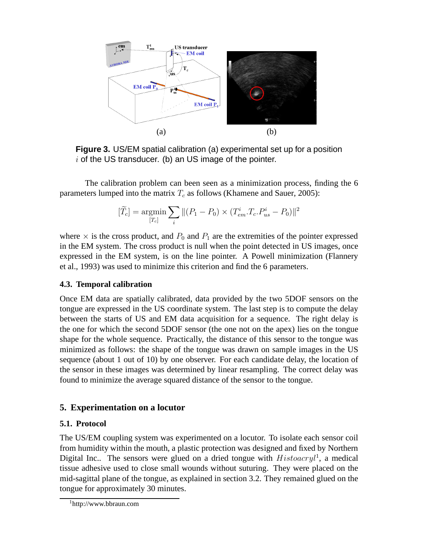

**Figure 3.** US/EM spatial calibration (a) experimental set up for a position  $i$  of the US transducer. (b) an US image of the pointer.

The calibration problem can been seen as a minimization process, finding the 6 parameters lumped into the matrix  $T_c$  as follows (Khamene and Sauer, 2005):

$$
[\widetilde{T}_c]=\underset{[T_c]}{\mathrm{argmin}}\sum_i\| (P_1-P_0)\times(T^i_{em}.T_c.P^i_{us}-P_0)\|^2
$$

where  $\times$  is the cross product, and  $P_0$  and  $P_1$  are the extremities of the pointer expressed in the EM system. The cross product is null when the point detected in US images, once expressed in the EM system, is on the line pointer. A Powell minimization (Flannery et al., 1993) was used to minimize this criterion and find the 6 parameters.

## **4.3. Temporal calibration**

Once EM data are spatially calibrated, data provided by the two 5DOF sensors on the tongue are expressed in the US coordinate system. The last step is to compute the delay between the starts of US and EM data acquisition for a sequence. The right delay is the one for which the second 5DOF sensor (the one not on the apex) lies on the tongue shape for the whole sequence. Practically, the distance of this sensor to the tongue was minimized as follows: the shape of the tongue was drawn on sample images in the US sequence (about 1 out of 10) by one observer. For each candidate delay, the location of the sensor in these images was determined by linear resampling. The correct delay was found to minimize the average squared distance of the sensor to the tongue.

## **5. Experimentation on a locutor**

## **5.1. Protocol**

The US/EM coupling system was experimented on a locutor. To isolate each sensor coil from humidity within the mouth, a plastic protection was designed and fixed by Northern Digital Inc.. The sensors were glued on a dried tongue with  $Historu^1$ , a medical tissue adhesive used to close small wounds without suturing. They were placed on the mid-sagittal plane of the tongue, as explained in section 3.2. They remained glued on the tongue for approximately 30 minutes.

<sup>1</sup>http://www.bbraun.com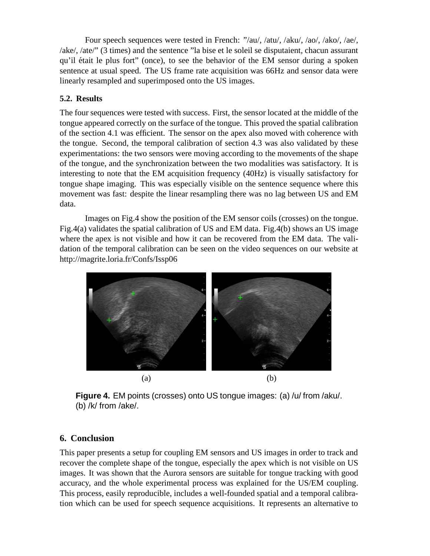Four speech sequences were tested in French: "/au/, /atu/, /aku/, /ao/, /ako/, /ae/, /ake/, /ate/" (3 times) and the sentence "la bise et le soleil se disputaient, chacun assurant qu'il était le plus fort" (once), to see the behavior of the EM sensor during a spoken sentence at usual speed. The US frame rate acquisition was 66Hz and sensor data were linearly resampled and superimposed onto the US images.

# **5.2. Results**

The four sequences were tested with success. First, the sensor located at the middle of the tongue appeared correctly on the surface of the tongue. This proved the spatial calibration of the section 4.1 was efficient. The sensor on the apex also moved with coherence with the tongue. Second, the temporal calibration of section 4.3 was also validated by these experimentations: the two sensors were moving according to the movements of the shape of the tongue, and the synchronization between the two modalities was satisfactory. It is interesting to note that the EM acquisition frequency (40Hz) is visually satisfactory for tongue shape imaging. This was especially visible on the sentence sequence where this movement was fast: despite the linear resampling there was no lag between US and EM data.

Images on Fig.4 show the position of the EM sensor coils (crosses) on the tongue. Fig.4(a) validates the spatial calibration of US and EM data. Fig.4(b) shows an US image where the apex is not visible and how it can be recovered from the EM data. The validation of the temporal calibration can be seen on the video sequences on our website at http://magrite.loria.fr/Confs/Issp06



**Figure 4.** EM points (crosses) onto US tongue images: (a) /u/ from /aku/. (b) /k/ from /ake/.

# **6. Conclusion**

This paper presents a setup for coupling EM sensors and US images in order to track and recover the complete shape of the tongue, especially the apex which is not visible on US images. It was shown that the Aurora sensors are suitable for tongue tracking with good accuracy, and the whole experimental process was explained for the US/EM coupling. This process, easily reproducible, includes a well-founded spatial and a temporal calibration which can be used for speech sequence acquisitions. It represents an alternative to